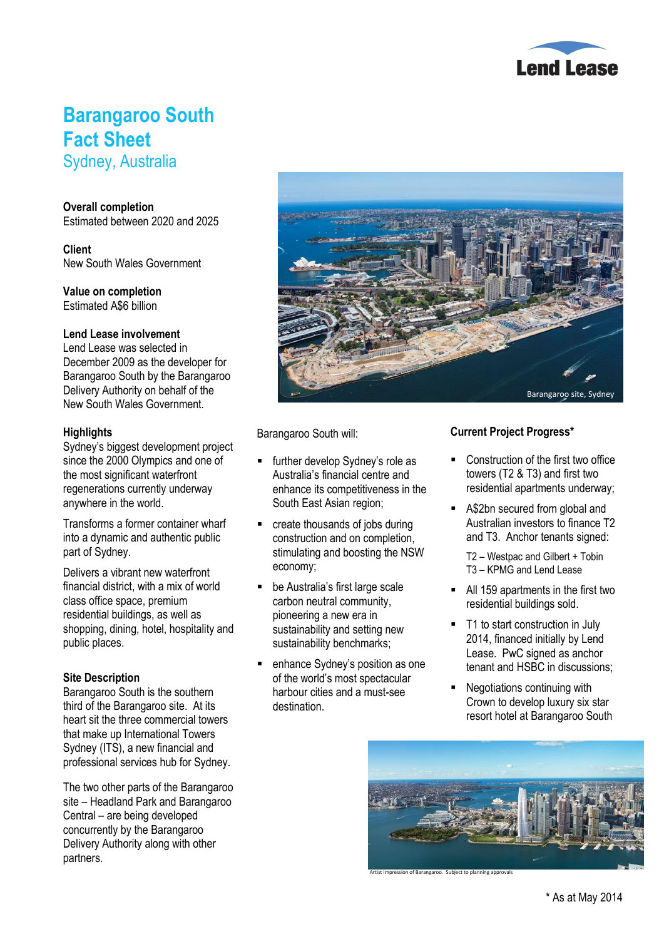

## **Barangaroo South Fact Sheet**

Sydney, Australia

#### **Overall completion**

Estimated between 2020 and 2025

**Client** New South Wales Government

**Value on completion** Estimated A\$6 billion

#### **Lend Lease involvement**

Lend Lease was selected in December 2009 as the developer for Barangaroo South by the Barangaroo Delivery Authority on behalf of the New South Wales Government.

#### **Highlights**

Sydney's biggest development project since the 2000 Olympics and one of the most significant waterfront regenerations currently underway anywhere in the world.

Transforms a former container wharf into a dynamic and authentic public part of Sydney.

Delivers a vibrant new waterfront financial district, with a mix of world class office space, premium residential buildings, as well as shopping, dining, hotel, hospitality and public places.

### **Site Description**

Barangaroo South is the southern third of the Barangaroo site. At its heart sit the three commercial towers that make up International Towers Sydney (ITS), a new financial and professional services hub for Sydney.

The two other parts of the Barangaroo site – Headland Park and Barangaroo Central – are being developed concurrently by the Barangaroo Delivery Authority along with other partners.



Barangaroo South will:

- further develop Sydney's role as Australia's financial centre and enhance its competitiveness in the South East Asian region;
- create thousands of jobs during construction and on completion, stimulating and boosting the NSW economy;
- be Australia's first large scale carbon neutral community, pioneering a new era in sustainability and setting new sustainability benchmarks;
- enhance Sydney's position as one of the world's most spectacular harbour cities and a must-see destination.

## **Current Project Progress\***

- Construction of the first two office towers (T2 & T3) and first two residential apartments underway;
- A\$2bn secured from global and Australian investors to finance T2 and T3. Anchor tenants signed:

T2 – Westpac and Gilbert + Tobin T3 – KPMG and Lend Lease

- All 159 apartments in the first two residential buildings sold.
- T1 to start construction in July 2014, financed initially by Lend Lease. PwC signed as anchor tenant and HSBC in discussions;
- Negotiations continuing with Crown to develop luxury six star resort hotel at Barangaroo South



Artist impression of Barangaroo. Subject to planning approvals